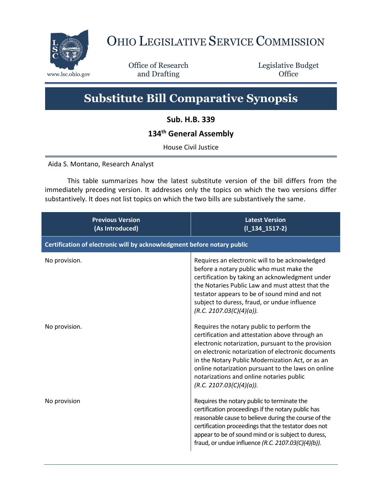

## OHIO LEGISLATIVE SERVICE COMMISSION

Office of Research www.lsc.ohio.gov **and Drafting Office** 

Legislative Budget

## **Substitute Bill Comparative Synopsis**

**Sub. H.B. 339**

## **134th General Assembly**

House Civil Justice

Aida S. Montano, Research Analyst

This table summarizes how the latest substitute version of the bill differs from the immediately preceding version. It addresses only the topics on which the two versions differ substantively. It does not list topics on which the two bills are substantively the same.

| <b>Previous Version</b><br>(As Introduced)                              | <b>Latest Version</b><br>$(I_134_1517-2)$                                                                                                                                                                                                                                                                                                                                                 |  |
|-------------------------------------------------------------------------|-------------------------------------------------------------------------------------------------------------------------------------------------------------------------------------------------------------------------------------------------------------------------------------------------------------------------------------------------------------------------------------------|--|
| Certification of electronic will by acknowledgment before notary public |                                                                                                                                                                                                                                                                                                                                                                                           |  |
| No provision.                                                           | Requires an electronic will to be acknowledged<br>before a notary public who must make the<br>certification by taking an acknowledgment under<br>the Notaries Public Law and must attest that the<br>testator appears to be of sound mind and not<br>subject to duress, fraud, or undue influence<br>(R.C. 2107.03(C)(4)(a)).                                                             |  |
| No provision.                                                           | Requires the notary public to perform the<br>certification and attestation above through an<br>electronic notarization, pursuant to the provision<br>on electronic notarization of electronic documents<br>in the Notary Public Modernization Act, or as an<br>online notarization pursuant to the laws on online<br>notarizations and online notaries public<br>(R.C. 2107.03(C)(4)(a)). |  |
| No provision                                                            | Requires the notary public to terminate the<br>certification proceedings if the notary public has<br>reasonable cause to believe during the course of the<br>certification proceedings that the testator does not<br>appear to be of sound mind or is subject to duress,<br>fraud, or undue influence (R.C. 2107.03(C)(4)(b)).                                                            |  |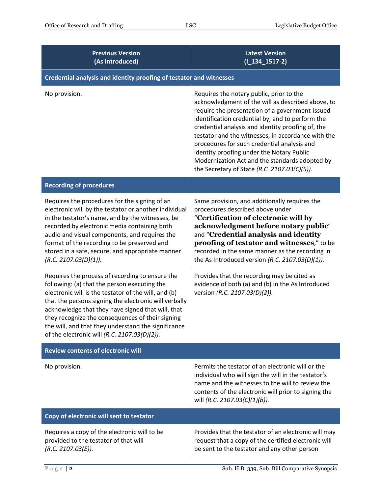| <b>Previous Version</b><br>(As Introduced)                                                                                                                                                                                                                                                                                                                                                                                                                                                                                                                                                                                                                                                                                                                                                                                  | <b>Latest Version</b><br>$(I_134_1517-2)$                                                                                                                                                                                                                                                                                                                                                                                                                                                                     |  |
|-----------------------------------------------------------------------------------------------------------------------------------------------------------------------------------------------------------------------------------------------------------------------------------------------------------------------------------------------------------------------------------------------------------------------------------------------------------------------------------------------------------------------------------------------------------------------------------------------------------------------------------------------------------------------------------------------------------------------------------------------------------------------------------------------------------------------------|---------------------------------------------------------------------------------------------------------------------------------------------------------------------------------------------------------------------------------------------------------------------------------------------------------------------------------------------------------------------------------------------------------------------------------------------------------------------------------------------------------------|--|
| Credential analysis and identity proofing of testator and witnesses                                                                                                                                                                                                                                                                                                                                                                                                                                                                                                                                                                                                                                                                                                                                                         |                                                                                                                                                                                                                                                                                                                                                                                                                                                                                                               |  |
| No provision.                                                                                                                                                                                                                                                                                                                                                                                                                                                                                                                                                                                                                                                                                                                                                                                                               | Requires the notary public, prior to the<br>acknowledgment of the will as described above, to<br>require the presentation of a government-issued<br>identification credential by, and to perform the<br>credential analysis and identity proofing of, the<br>testator and the witnesses, in accordance with the<br>procedures for such credential analysis and<br>identity proofing under the Notary Public<br>Modernization Act and the standards adopted by<br>the Secretary of State (R.C. 2107.03(C)(5)). |  |
| <b>Recording of procedures</b>                                                                                                                                                                                                                                                                                                                                                                                                                                                                                                                                                                                                                                                                                                                                                                                              |                                                                                                                                                                                                                                                                                                                                                                                                                                                                                                               |  |
| Requires the procedures for the signing of an<br>electronic will by the testator or another individual<br>in the testator's name, and by the witnesses, be<br>recorded by electronic media containing both<br>audio and visual components, and requires the<br>format of the recording to be preserved and<br>stored in a safe, secure, and appropriate manner<br>(R.C. 2107.03(D)(1)).<br>Requires the process of recording to ensure the<br>following: (a) that the person executing the<br>electronic will is the testator of the will, and (b)<br>that the persons signing the electronic will verbally<br>acknowledge that they have signed that will, that<br>they recognize the consequences of their signing<br>the will, and that they understand the significance<br>of the electronic will (R.C. 2107.03(D)(2)). | Same provision, and additionally requires the<br>procedures described above under<br>"Certification of electronic will by<br>acknowledgment before notary public"<br>and "Credential analysis and identity<br>proofing of testator and witnesses," to be<br>recorded in the same manner as the recording in<br>the As Introduced version (R.C. 2107.03(D)(1)).<br>Provides that the recording may be cited as<br>evidence of both (a) and (b) in the As Introduced<br>version (R.C. 2107.03(D)(2)).           |  |
| <b>Review contents of electronic will</b>                                                                                                                                                                                                                                                                                                                                                                                                                                                                                                                                                                                                                                                                                                                                                                                   |                                                                                                                                                                                                                                                                                                                                                                                                                                                                                                               |  |
| No provision.                                                                                                                                                                                                                                                                                                                                                                                                                                                                                                                                                                                                                                                                                                                                                                                                               | Permits the testator of an electronic will or the<br>individual who will sign the will in the testator's<br>name and the witnesses to the will to review the<br>contents of the electronic will prior to signing the<br>will (R.C. 2107.03(C)(1)(b)).                                                                                                                                                                                                                                                         |  |
| Copy of electronic will sent to testator                                                                                                                                                                                                                                                                                                                                                                                                                                                                                                                                                                                                                                                                                                                                                                                    |                                                                                                                                                                                                                                                                                                                                                                                                                                                                                                               |  |
| Requires a copy of the electronic will to be<br>provided to the testator of that will<br>(R.C. 2107.03(E)).                                                                                                                                                                                                                                                                                                                                                                                                                                                                                                                                                                                                                                                                                                                 | Provides that the testator of an electronic will may<br>request that a copy of the certified electronic will<br>be sent to the testator and any other person                                                                                                                                                                                                                                                                                                                                                  |  |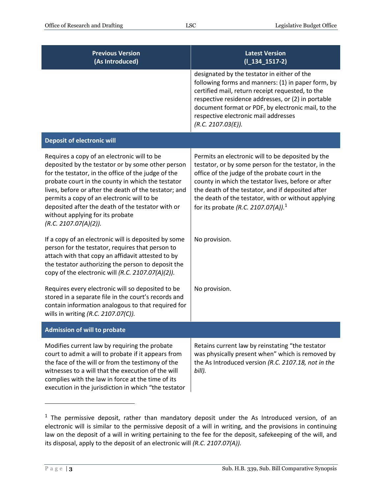| <b>Previous Version</b><br>(As Introduced)                                                                                                                                                                                                                                                                                                                                                                                            | <b>Latest Version</b><br>$(I_134_1517-2)$                                                                                                                                                                                                                                                                                                                                          |
|---------------------------------------------------------------------------------------------------------------------------------------------------------------------------------------------------------------------------------------------------------------------------------------------------------------------------------------------------------------------------------------------------------------------------------------|------------------------------------------------------------------------------------------------------------------------------------------------------------------------------------------------------------------------------------------------------------------------------------------------------------------------------------------------------------------------------------|
|                                                                                                                                                                                                                                                                                                                                                                                                                                       | designated by the testator in either of the<br>following forms and manners: (1) in paper form, by<br>certified mail, return receipt requested, to the<br>respective residence addresses, or (2) in portable<br>document format or PDF, by electronic mail, to the<br>respective electronic mail addresses<br>(R.C. 2107.03(E)).                                                    |
| <b>Deposit of electronic will</b>                                                                                                                                                                                                                                                                                                                                                                                                     |                                                                                                                                                                                                                                                                                                                                                                                    |
| Requires a copy of an electronic will to be<br>deposited by the testator or by some other person<br>for the testator, in the office of the judge of the<br>probate court in the county in which the testator<br>lives, before or after the death of the testator; and<br>permits a copy of an electronic will to be<br>deposited after the death of the testator with or<br>without applying for its probate<br>(R.C. 2107.07(A)(2)). | Permits an electronic will to be deposited by the<br>testator, or by some person for the testator, in the<br>office of the judge of the probate court in the<br>county in which the testator lives, before or after<br>the death of the testator, and if deposited after<br>the death of the testator, with or without applying<br>for its probate (R.C. 2107.07(A)). <sup>1</sup> |
| If a copy of an electronic will is deposited by some<br>person for the testator, requires that person to<br>attach with that copy an affidavit attested to by<br>the testator authorizing the person to deposit the<br>copy of the electronic will (R.C. 2107.07(A)(2)).                                                                                                                                                              | No provision.                                                                                                                                                                                                                                                                                                                                                                      |
| Requires every electronic will so deposited to be<br>stored in a separate file in the court's records and<br>contain information analogous to that required for<br>wills in writing (R.C. 2107.07(C)).                                                                                                                                                                                                                                | No provision.                                                                                                                                                                                                                                                                                                                                                                      |
| <b>Admission of will to probate</b>                                                                                                                                                                                                                                                                                                                                                                                                   |                                                                                                                                                                                                                                                                                                                                                                                    |
| Modifies current law by requiring the probate<br>court to admit a will to probate if it appears from<br>the face of the will or from the testimony of the<br>witnesses to a will that the execution of the will<br>complies with the law in force at the time of its<br>execution in the jurisdiction in which "the testator                                                                                                          | Retains current law by reinstating "the testator<br>was physically present when" which is removed by<br>the As Introduced version (R.C. 2107.18, not in the<br>bill).                                                                                                                                                                                                              |

<sup>&</sup>lt;sup>1</sup> The permissive deposit, rather than mandatory deposit under the As Introduced version, of an electronic will is similar to the permissive deposit of a will in writing, and the provisions in continuing law on the deposit of a will in writing pertaining to the fee for the deposit, safekeeping of the will, and its disposal, apply to the deposit of an electronic will *(R.C. 2107.07(A)).*

 $\overline{a}$